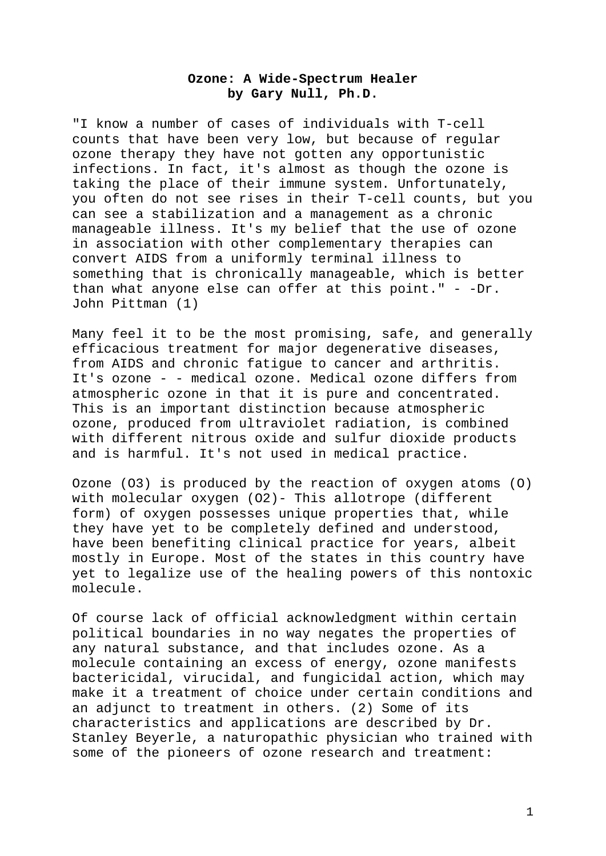# **Ozone: A Wide-Spectrum Healer by Gary Null, Ph.D.**

"I know a number of cases of individuals with T-cell counts that have been very low, but because of regular ozone therapy they have not gotten any opportunistic infections. In fact, it's almost as though the ozone is taking the place of their immune system. Unfortunately, you often do not see rises in their T-cell counts, but you can see a stabilization and a management as a chronic manageable illness. It's my belief that the use of ozone in association with other complementary therapies can convert AIDS from a uniformly terminal illness to something that is chronically manageable, which is better than what anyone else can offer at this point."  $-$  -Dr. John Pittman (1)

Many feel it to be the most promising, safe, and generally efficacious treatment for major degenerative diseases, from AIDS and chronic fatigue to cancer and arthritis. It's ozone - - medical ozone. Medical ozone differs from atmospheric ozone in that it is pure and concentrated. This is an important distinction because atmospheric ozone, produced from ultraviolet radiation, is combined with different nitrous oxide and sulfur dioxide products and is harmful. It's not used in medical practice.

Ozone (O3) is produced by the reaction of oxygen atoms (O) with molecular oxygen (O2)- This allotrope (different form) of oxygen possesses unique properties that, while they have yet to be completely defined and understood, have been benefiting clinical practice for years, albeit mostly in Europe. Most of the states in this country have yet to legalize use of the healing powers of this nontoxic molecule.

Of course lack of official acknowledgment within certain political boundaries in no way negates the properties of any natural substance, and that includes ozone. As a molecule containing an excess of energy, ozone manifests bactericidal, virucidal, and fungicidal action, which may make it a treatment of choice under certain conditions and an adjunct to treatment in others. (2) Some of its characteristics and applications are described by Dr. Stanley Beyerle, a naturopathic physician who trained with some of the pioneers of ozone research and treatment: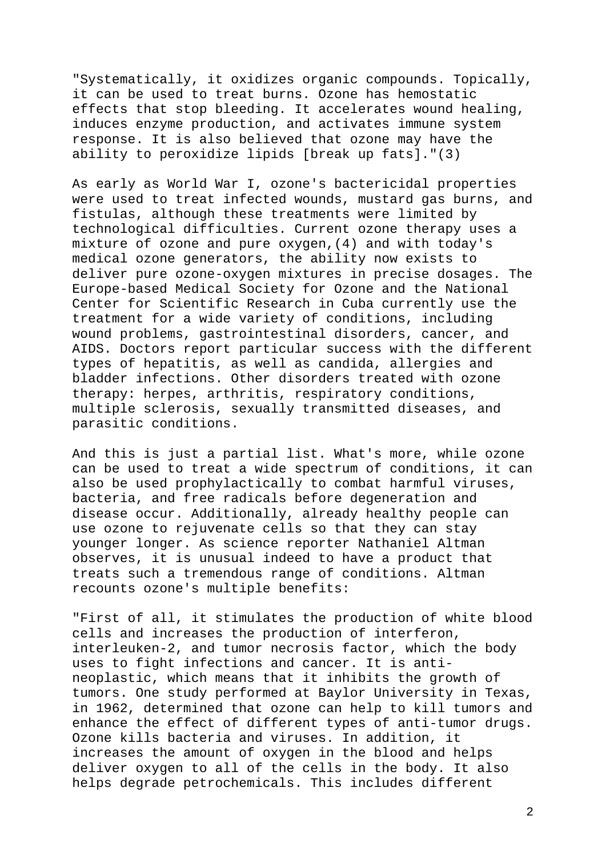"Systematically, it oxidizes organic compounds. Topically, it can be used to treat burns. Ozone has hemostatic effects that stop bleeding. It accelerates wound healing, induces enzyme production, and activates immune system response. It is also believed that ozone may have the ability to peroxidize lipids [break up fats]."(3)

As early as World War I, ozone's bactericidal properties were used to treat infected wounds, mustard gas burns, and fistulas, although these treatments were limited by technological difficulties. Current ozone therapy uses a mixture of ozone and pure oxygen,(4) and with today's medical ozone generators, the ability now exists to deliver pure ozone-oxygen mixtures in precise dosages. The Europe-based Medical Society for Ozone and the National Center for Scientific Research in Cuba currently use the treatment for a wide variety of conditions, including wound problems, gastrointestinal disorders, cancer, and AIDS. Doctors report particular success with the different types of hepatitis, as well as candida, allergies and bladder infections. Other disorders treated with ozone therapy: herpes, arthritis, respiratory conditions, multiple sclerosis, sexually transmitted diseases, and parasitic conditions.

And this is just a partial list. What's more, while ozone can be used to treat a wide spectrum of conditions, it can also be used prophylactically to combat harmful viruses, bacteria, and free radicals before degeneration and disease occur. Additionally, already healthy people can use ozone to rejuvenate cells so that they can stay younger longer. As science reporter Nathaniel Altman observes, it is unusual indeed to have a product that treats such a tremendous range of conditions. Altman recounts ozone's multiple benefits:

"First of all, it stimulates the production of white blood cells and increases the production of interferon, interleuken-2, and tumor necrosis factor, which the body uses to fight infections and cancer. It is antineoplastic, which means that it inhibits the growth of tumors. One study performed at Baylor University in Texas, in 1962, determined that ozone can help to kill tumors and enhance the effect of different types of anti-tumor drugs. Ozone kills bacteria and viruses. In addition, it increases the amount of oxygen in the blood and helps deliver oxygen to all of the cells in the body. It also helps degrade petrochemicals. This includes different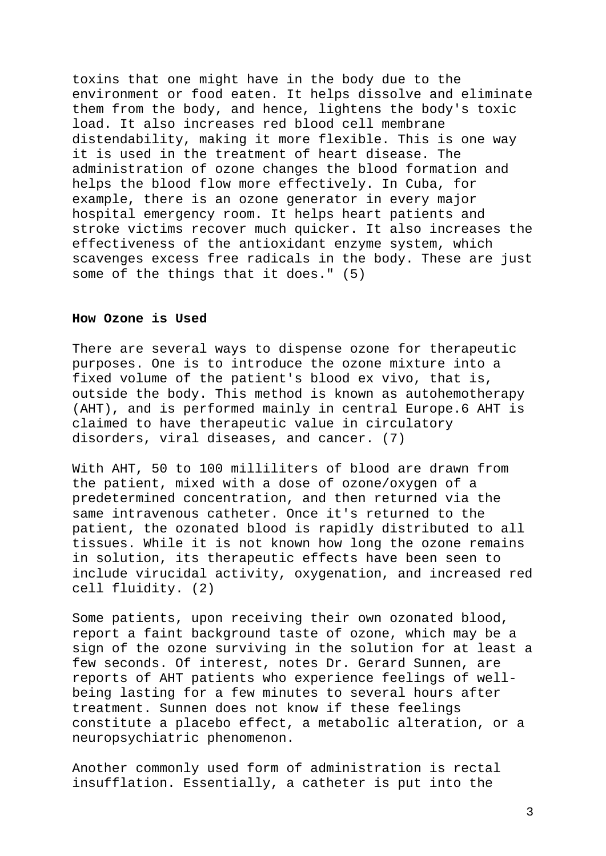toxins that one might have in the body due to the environment or food eaten. It helps dissolve and eliminate them from the body, and hence, lightens the body's toxic load. It also increases red blood cell membrane distendability, making it more flexible. This is one way it is used in the treatment of heart disease. The administration of ozone changes the blood formation and helps the blood flow more effectively. In Cuba, for example, there is an ozone generator in every major hospital emergency room. It helps heart patients and stroke victims recover much quicker. It also increases the effectiveness of the antioxidant enzyme system, which scavenges excess free radicals in the body. These are just some of the things that it does." (5)

#### **How Ozone is Used**

There are several ways to dispense ozone for therapeutic purposes. One is to introduce the ozone mixture into a fixed volume of the patient's blood ex vivo, that is, outside the body. This method is known as autohemotherapy (AHT), and is performed mainly in central Europe.6 AHT is claimed to have therapeutic value in circulatory disorders, viral diseases, and cancer. (7)

With AHT, 50 to 100 milliliters of blood are drawn from the patient, mixed with a dose of ozone/oxygen of a predetermined concentration, and then returned via the same intravenous catheter. Once it's returned to the patient, the ozonated blood is rapidly distributed to all tissues. While it is not known how long the ozone remains in solution, its therapeutic effects have been seen to include virucidal activity, oxygenation, and increased red cell fluidity. (2)

Some patients, upon receiving their own ozonated blood, report a faint background taste of ozone, which may be a sign of the ozone surviving in the solution for at least a few seconds. Of interest, notes Dr. Gerard Sunnen, are reports of AHT patients who experience feelings of wellbeing lasting for a few minutes to several hours after treatment. Sunnen does not know if these feelings constitute a placebo effect, a metabolic alteration, or a neuropsychiatric phenomenon.

Another commonly used form of administration is rectal insufflation. Essentially, a catheter is put into the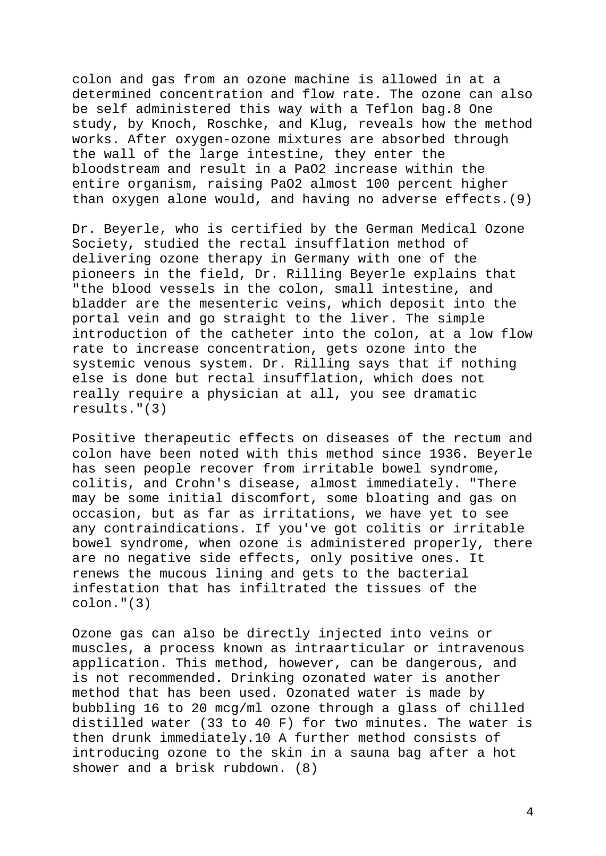colon and gas from an ozone machine is allowed in at a determined concentration and flow rate. The ozone can also be self administered this way with a Teflon bag.8 One study, by Knoch, Roschke, and Klug, reveals how the method works. After oxygen-ozone mixtures are absorbed through the wall of the large intestine, they enter the bloodstream and result in a PaO2 increase within the entire organism, raising PaO2 almost 100 percent higher than oxygen alone would, and having no adverse effects.(9)

Dr. Beyerle, who is certified by the German Medical Ozone Society, studied the rectal insufflation method of delivering ozone therapy in Germany with one of the pioneers in the field, Dr. Rilling Beyerle explains that "the blood vessels in the colon, small intestine, and bladder are the mesenteric veins, which deposit into the portal vein and go straight to the liver. The simple introduction of the catheter into the colon, at a low flow rate to increase concentration, gets ozone into the systemic venous system. Dr. Rilling says that if nothing else is done but rectal insufflation, which does not really require a physician at all, you see dramatic results."(3)

Positive therapeutic effects on diseases of the rectum and colon have been noted with this method since 1936. Beyerle has seen people recover from irritable bowel syndrome, colitis, and Crohn's disease, almost immediately. "There may be some initial discomfort, some bloating and gas on occasion, but as far as irritations, we have yet to see any contraindications. If you've got colitis or irritable bowel syndrome, when ozone is administered properly, there are no negative side effects, only positive ones. It renews the mucous lining and gets to the bacterial infestation that has infiltrated the tissues of the colon."(3)

Ozone gas can also be directly injected into veins or muscles, a process known as intraarticular or intravenous application. This method, however, can be dangerous, and is not recommended. Drinking ozonated water is another method that has been used. Ozonated water is made by bubbling 16 to 20 mcg/ml ozone through a glass of chilled distilled water (33 to 40 F) for two minutes. The water is then drunk immediately.10 A further method consists of introducing ozone to the skin in a sauna bag after a hot shower and a brisk rubdown. (8)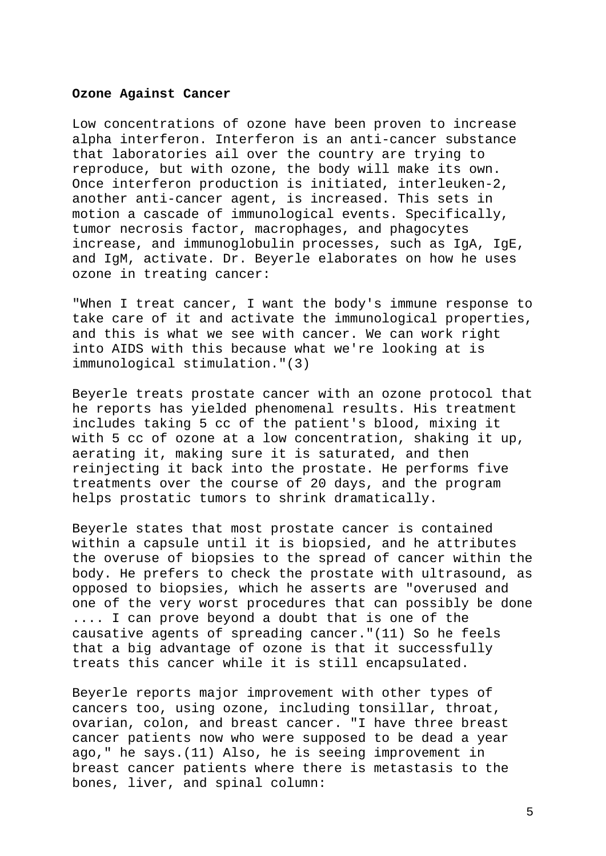### **Ozone Against Cancer**

Low concentrations of ozone have been proven to increase alpha interferon. Interferon is an anti-cancer substance that laboratories ail over the country are trying to reproduce, but with ozone, the body will make its own. Once interferon production is initiated, interleuken-2, another anti-cancer agent, is increased. This sets in motion a cascade of immunological events. Specifically, tumor necrosis factor, macrophages, and phagocytes increase, and immunoglobulin processes, such as IgA, IgE, and IgM, activate. Dr. Beyerle elaborates on how he uses ozone in treating cancer:

"When I treat cancer, I want the body's immune response to take care of it and activate the immunological properties, and this is what we see with cancer. We can work right into AIDS with this because what we're looking at is immunological stimulation."(3)

Beyerle treats prostate cancer with an ozone protocol that he reports has yielded phenomenal results. His treatment includes taking 5 cc of the patient's blood, mixing it with 5 cc of ozone at a low concentration, shaking it up, aerating it, making sure it is saturated, and then reinjecting it back into the prostate. He performs five treatments over the course of 20 days, and the program helps prostatic tumors to shrink dramatically.

Beyerle states that most prostate cancer is contained within a capsule until it is biopsied, and he attributes the overuse of biopsies to the spread of cancer within the body. He prefers to check the prostate with ultrasound, as opposed to biopsies, which he asserts are "overused and one of the very worst procedures that can possibly be done .... I can prove beyond a doubt that is one of the causative agents of spreading cancer."(11) So he feels that a big advantage of ozone is that it successfully treats this cancer while it is still encapsulated.

Beyerle reports major improvement with other types of cancers too, using ozone, including tonsillar, throat, ovarian, colon, and breast cancer. "I have three breast cancer patients now who were supposed to be dead a year ago," he says.(11) Also, he is seeing improvement in breast cancer patients where there is metastasis to the bones, liver, and spinal column: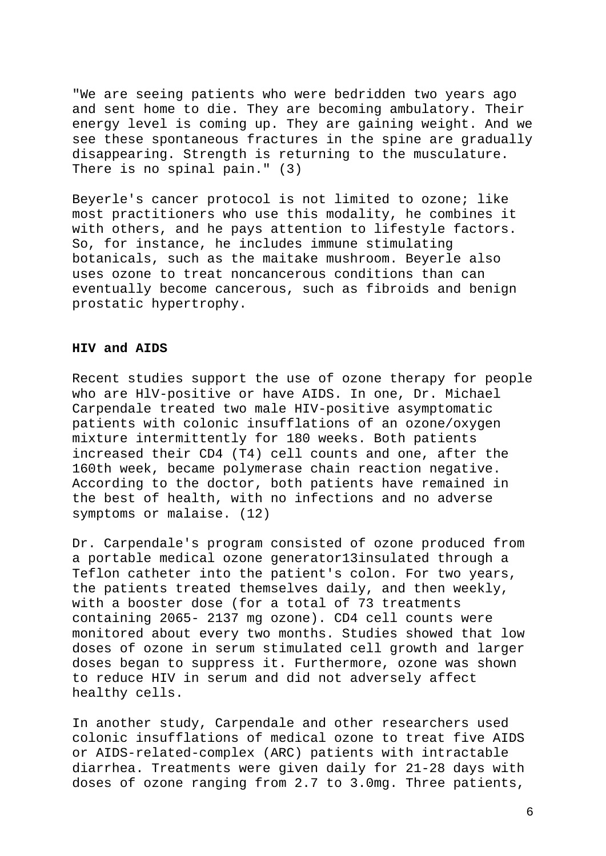"We are seeing patients who were bedridden two years ago and sent home to die. They are becoming ambulatory. Their energy level is coming up. They are gaining weight. And we see these spontaneous fractures in the spine are gradually disappearing. Strength is returning to the musculature. There is no spinal pain." (3)

Beyerle's cancer protocol is not limited to ozone; like most practitioners who use this modality, he combines it with others, and he pays attention to lifestyle factors. So, for instance, he includes immune stimulating botanicals, such as the maitake mushroom. Beyerle also uses ozone to treat noncancerous conditions than can eventually become cancerous, such as fibroids and benign prostatic hypertrophy.

# **HIV and AIDS**

Recent studies support the use of ozone therapy for people who are HlV-positive or have AIDS. In one, Dr. Michael Carpendale treated two male HIV-positive asymptomatic patients with colonic insufflations of an ozone/oxygen mixture intermittently for 180 weeks. Both patients increased their CD4 (T4) cell counts and one, after the 160th week, became polymerase chain reaction negative. According to the doctor, both patients have remained in the best of health, with no infections and no adverse symptoms or malaise. (12)

Dr. Carpendale's program consisted of ozone produced from a portable medical ozone generator13insulated through a Teflon catheter into the patient's colon. For two years, the patients treated themselves daily, and then weekly, with a booster dose (for a total of 73 treatments containing 2065- 2137 mg ozone). CD4 cell counts were monitored about every two months. Studies showed that low doses of ozone in serum stimulated cell growth and larger doses began to suppress it. Furthermore, ozone was shown to reduce HIV in serum and did not adversely affect healthy cells.

In another study, Carpendale and other researchers used colonic insufflations of medical ozone to treat five AIDS or AIDS-related-complex (ARC) patients with intractable diarrhea. Treatments were given daily for 21-28 days with doses of ozone ranging from 2.7 to 3.0mg. Three patients,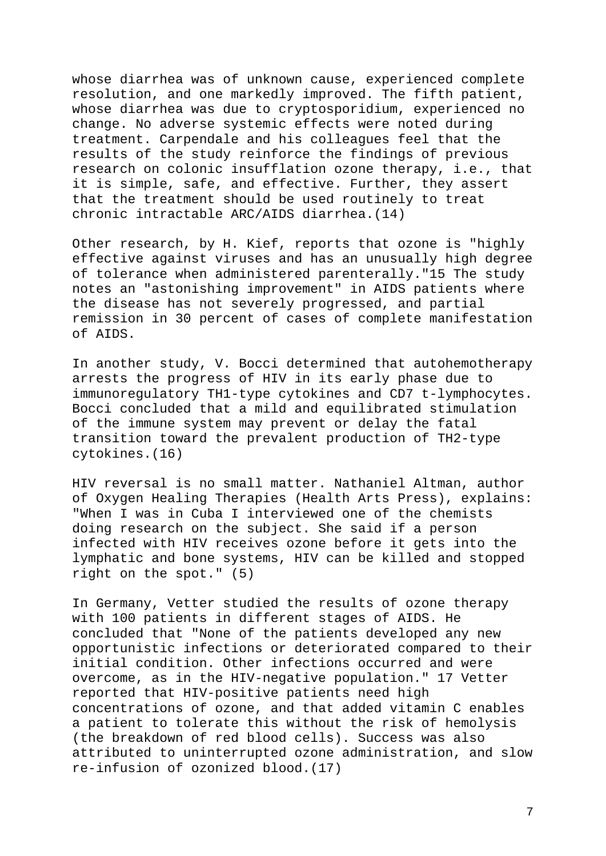whose diarrhea was of unknown cause, experienced complete resolution, and one markedly improved. The fifth patient, whose diarrhea was due to cryptosporidium, experienced no change. No adverse systemic effects were noted during treatment. Carpendale and his colleagues feel that the results of the study reinforce the findings of previous research on colonic insufflation ozone therapy, i.e., that it is simple, safe, and effective. Further, they assert that the treatment should be used routinely to treat chronic intractable ARC/AIDS diarrhea.(14)

Other research, by H. Kief, reports that ozone is "highly effective against viruses and has an unusually high degree of tolerance when administered parenterally."15 The study notes an "astonishing improvement" in AIDS patients where the disease has not severely progressed, and partial remission in 30 percent of cases of complete manifestation of AIDS.

In another study, V. Bocci determined that autohemotherapy arrests the progress of HIV in its early phase due to immunoregulatory TH1-type cytokines and CD7 t-lymphocytes. Bocci concluded that a mild and equilibrated stimulation of the immune system may prevent or delay the fatal transition toward the prevalent production of TH2-type cytokines.(16)

HIV reversal is no small matter. Nathaniel Altman, author of Oxygen Healing Therapies (Health Arts Press), explains: "When I was in Cuba I interviewed one of the chemists doing research on the subject. She said if a person infected with HIV receives ozone before it gets into the lymphatic and bone systems, HIV can be killed and stopped right on the spot." (5)

In Germany, Vetter studied the results of ozone therapy with 100 patients in different stages of AIDS. He concluded that "None of the patients developed any new opportunistic infections or deteriorated compared to their initial condition. Other infections occurred and were overcome, as in the HIV-negative population." 17 Vetter reported that HIV-positive patients need high concentrations of ozone, and that added vitamin C enables a patient to tolerate this without the risk of hemolysis (the breakdown of red blood cells). Success was also attributed to uninterrupted ozone administration, and slow re-infusion of ozonized blood.(17)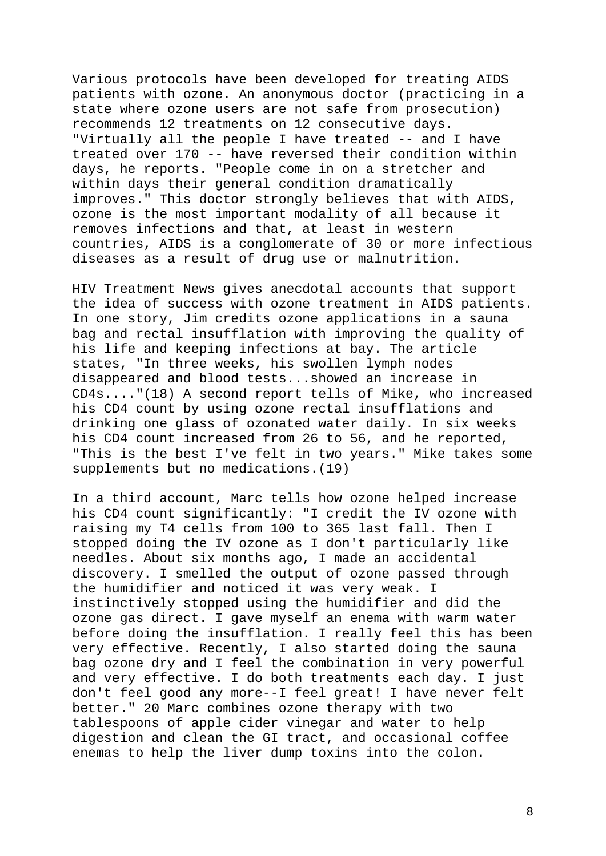Various protocols have been developed for treating AIDS patients with ozone. An anonymous doctor (practicing in a state where ozone users are not safe from prosecution) recommends 12 treatments on 12 consecutive days. "Virtually all the people I have treated -- and I have treated over 170 -- have reversed their condition within days, he reports. "People come in on a stretcher and within days their general condition dramatically improves." This doctor strongly believes that with AIDS, ozone is the most important modality of all because it removes infections and that, at least in western countries, AIDS is a conglomerate of 30 or more infectious diseases as a result of drug use or malnutrition.

HIV Treatment News gives anecdotal accounts that support the idea of success with ozone treatment in AIDS patients. In one story, Jim credits ozone applications in a sauna bag and rectal insufflation with improving the quality of his life and keeping infections at bay. The article states, "In three weeks, his swollen lymph nodes disappeared and blood tests...showed an increase in CD4s...."(18) A second report tells of Mike, who increased his CD4 count by using ozone rectal insufflations and drinking one glass of ozonated water daily. In six weeks his CD4 count increased from 26 to 56, and he reported, "This is the best I've felt in two years." Mike takes some supplements but no medications.(19)

In a third account, Marc tells how ozone helped increase his CD4 count significantly: "I credit the IV ozone with raising my T4 cells from 100 to 365 last fall. Then I stopped doing the IV ozone as I don't particularly like needles. About six months ago, I made an accidental discovery. I smelled the output of ozone passed through the humidifier and noticed it was very weak. I instinctively stopped using the humidifier and did the ozone gas direct. I gave myself an enema with warm water before doing the insufflation. I really feel this has been very effective. Recently, I also started doing the sauna bag ozone dry and I feel the combination in very powerful and very effective. I do both treatments each day. I just don't feel good any more--I feel great! I have never felt better." 20 Marc combines ozone therapy with two tablespoons of apple cider vinegar and water to help digestion and clean the GI tract, and occasional coffee enemas to help the liver dump toxins into the colon.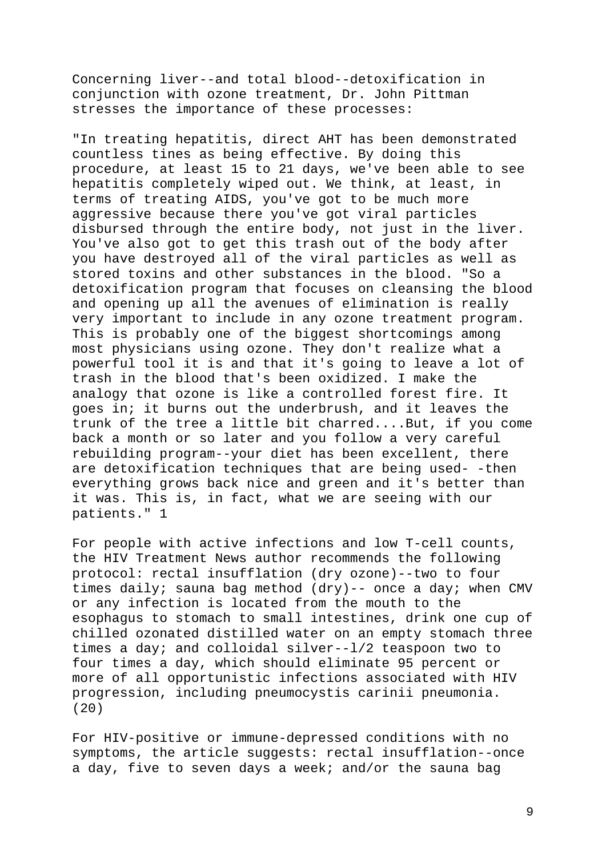Concerning liver--and total blood--detoxification in conjunction with ozone treatment, Dr. John Pittman stresses the importance of these processes:

"In treating hepatitis, direct AHT has been demonstrated countless tines as being effective. By doing this procedure, at least 15 to 21 days, we've been able to see hepatitis completely wiped out. We think, at least, in terms of treating AIDS, you've got to be much more aggressive because there you've got viral particles disbursed through the entire body, not just in the liver. You've also got to get this trash out of the body after you have destroyed all of the viral particles as well as stored toxins and other substances in the blood. "So a detoxification program that focuses on cleansing the blood and opening up all the avenues of elimination is really very important to include in any ozone treatment program. This is probably one of the biggest shortcomings among most physicians using ozone. They don't realize what a powerful tool it is and that it's going to leave a lot of trash in the blood that's been oxidized. I make the analogy that ozone is like a controlled forest fire. It goes in; it burns out the underbrush, and it leaves the trunk of the tree a little bit charred....But, if you come back a month or so later and you follow a very careful rebuilding program--your diet has been excellent, there are detoxification techniques that are being used- -then everything grows back nice and green and it's better than it was. This is, in fact, what we are seeing with our patients." 1

For people with active infections and low T-cell counts, the HIV Treatment News author recommends the following protocol: rectal insufflation (dry ozone)--two to four times daily; sauna bag method (dry)-- once a day; when CMV or any infection is located from the mouth to the esophagus to stomach to small intestines, drink one cup of chilled ozonated distilled water on an empty stomach three times a day; and colloidal silver--l/2 teaspoon two to four times a day, which should eliminate 95 percent or more of all opportunistic infections associated with HIV progression, including pneumocystis carinii pneumonia. (20)

For HIV-positive or immune-depressed conditions with no symptoms, the article suggests: rectal insufflation--once a day, five to seven days a week; and/or the sauna bag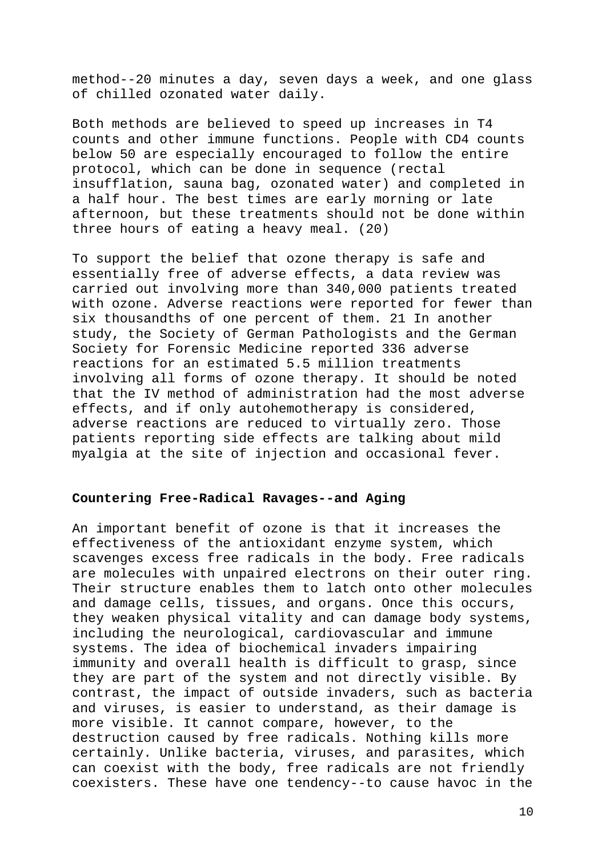method--20 minutes a day, seven days a week, and one glass of chilled ozonated water daily.

Both methods are believed to speed up increases in T4 counts and other immune functions. People with CD4 counts below 50 are especially encouraged to follow the entire protocol, which can be done in sequence (rectal insufflation, sauna bag, ozonated water) and completed in a half hour. The best times are early morning or late afternoon, but these treatments should not be done within three hours of eating a heavy meal. (20)

To support the belief that ozone therapy is safe and essentially free of adverse effects, a data review was carried out involving more than 340,000 patients treated with ozone. Adverse reactions were reported for fewer than six thousandths of one percent of them. 21 In another study, the Society of German Pathologists and the German Society for Forensic Medicine reported 336 adverse reactions for an estimated 5.5 million treatments involving all forms of ozone therapy. It should be noted that the IV method of administration had the most adverse effects, and if only autohemotherapy is considered, adverse reactions are reduced to virtually zero. Those patients reporting side effects are talking about mild myalgia at the site of injection and occasional fever.

# **Countering Free-Radical Ravages--and Aging**

An important benefit of ozone is that it increases the effectiveness of the antioxidant enzyme system, which scavenges excess free radicals in the body. Free radicals are molecules with unpaired electrons on their outer ring. Their structure enables them to latch onto other molecules and damage cells, tissues, and organs. Once this occurs, they weaken physical vitality and can damage body systems, including the neurological, cardiovascular and immune systems. The idea of biochemical invaders impairing immunity and overall health is difficult to grasp, since they are part of the system and not directly visible. By contrast, the impact of outside invaders, such as bacteria and viruses, is easier to understand, as their damage is more visible. It cannot compare, however, to the destruction caused by free radicals. Nothing kills more certainly. Unlike bacteria, viruses, and parasites, which can coexist with the body, free radicals are not friendly coexisters. These have one tendency--to cause havoc in the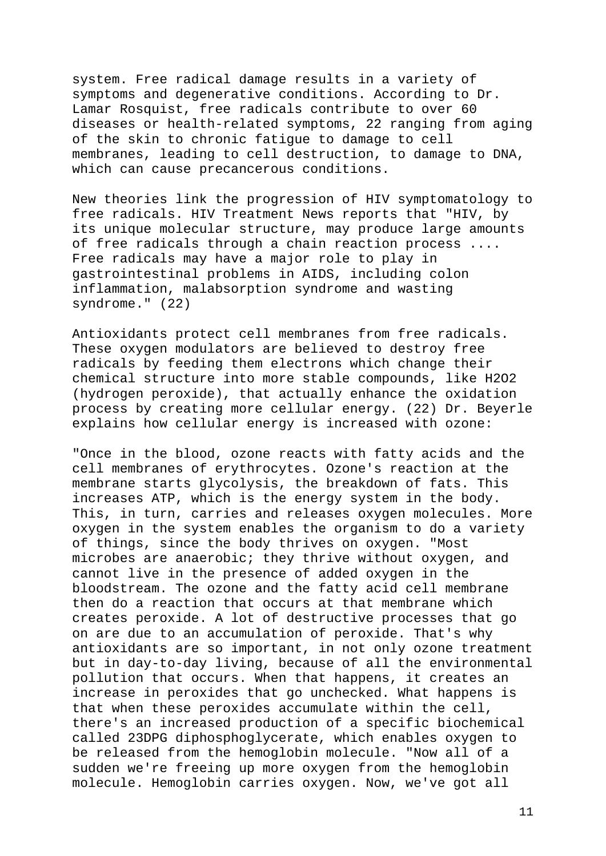system. Free radical damage results in a variety of symptoms and degenerative conditions. According to Dr. Lamar Rosquist, free radicals contribute to over 60 diseases or health-related symptoms, 22 ranging from aging of the skin to chronic fatigue to damage to cell membranes, leading to cell destruction, to damage to DNA, which can cause precancerous conditions.

New theories link the progression of HIV symptomatology to free radicals. HIV Treatment News reports that "HIV, by its unique molecular structure, may produce large amounts of free radicals through a chain reaction process .... Free radicals may have a major role to play in gastrointestinal problems in AIDS, including colon inflammation, malabsorption syndrome and wasting syndrome." (22)

Antioxidants protect cell membranes from free radicals. These oxygen modulators are believed to destroy free radicals by feeding them electrons which change their chemical structure into more stable compounds, like H2O2 (hydrogen peroxide), that actually enhance the oxidation process by creating more cellular energy. (22) Dr. Beyerle explains how cellular energy is increased with ozone:

"Once in the blood, ozone reacts with fatty acids and the cell membranes of erythrocytes. Ozone's reaction at the membrane starts glycolysis, the breakdown of fats. This increases ATP, which is the energy system in the body. This, in turn, carries and releases oxygen molecules. More oxygen in the system enables the organism to do a variety of things, since the body thrives on oxygen. "Most microbes are anaerobic; they thrive without oxygen, and cannot live in the presence of added oxygen in the bloodstream. The ozone and the fatty acid cell membrane then do a reaction that occurs at that membrane which creates peroxide. A lot of destructive processes that go on are due to an accumulation of peroxide. That's why antioxidants are so important, in not only ozone treatment but in day-to-day living, because of all the environmental pollution that occurs. When that happens, it creates an increase in peroxides that go unchecked. What happens is that when these peroxides accumulate within the cell, there's an increased production of a specific biochemical called 23DPG diphosphoglycerate, which enables oxygen to be released from the hemoglobin molecule. "Now all of a sudden we're freeing up more oxygen from the hemoglobin molecule. Hemoglobin carries oxygen. Now, we've got all

11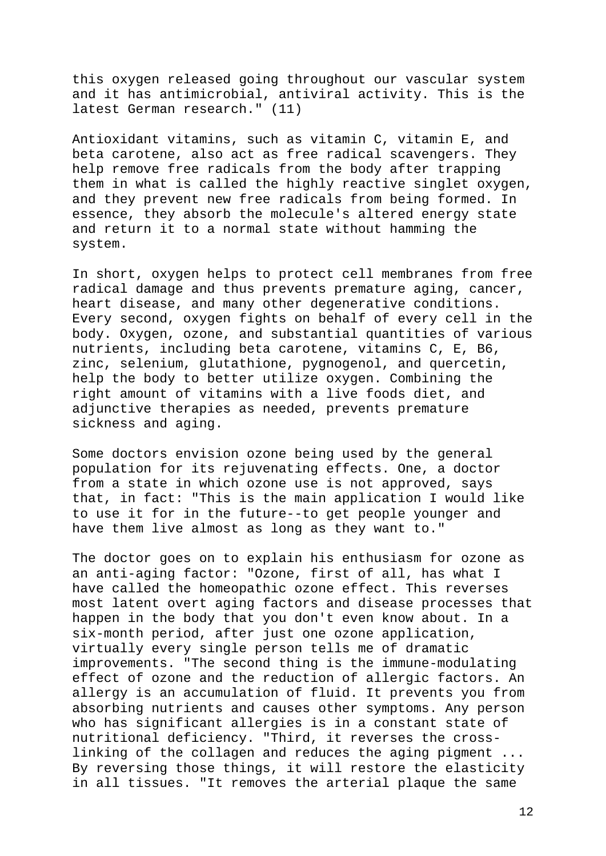this oxygen released going throughout our vascular system and it has antimicrobial, antiviral activity. This is the latest German research." (11)

Antioxidant vitamins, such as vitamin C, vitamin E, and beta carotene, also act as free radical scavengers. They help remove free radicals from the body after trapping them in what is called the highly reactive singlet oxygen, and they prevent new free radicals from being formed. In essence, they absorb the molecule's altered energy state and return it to a normal state without hamming the system.

In short, oxygen helps to protect cell membranes from free radical damage and thus prevents premature aging, cancer, heart disease, and many other degenerative conditions. Every second, oxygen fights on behalf of every cell in the body. Oxygen, ozone, and substantial quantities of various nutrients, including beta carotene, vitamins C, E, B6, zinc, selenium, glutathione, pygnogenol, and quercetin, help the body to better utilize oxygen. Combining the right amount of vitamins with a live foods diet, and adjunctive therapies as needed, prevents premature sickness and aging.

Some doctors envision ozone being used by the general population for its rejuvenating effects. One, a doctor from a state in which ozone use is not approved, says that, in fact: "This is the main application I would like to use it for in the future--to get people younger and have them live almost as long as they want to."

The doctor goes on to explain his enthusiasm for ozone as an anti-aging factor: "Ozone, first of all, has what I have called the homeopathic ozone effect. This reverses most latent overt aging factors and disease processes that happen in the body that you don't even know about. In a six-month period, after just one ozone application, virtually every single person tells me of dramatic improvements. "The second thing is the immune-modulating effect of ozone and the reduction of allergic factors. An allergy is an accumulation of fluid. It prevents you from absorbing nutrients and causes other symptoms. Any person who has significant allergies is in a constant state of nutritional deficiency. "Third, it reverses the crosslinking of the collagen and reduces the aging pigment ... By reversing those things, it will restore the elasticity in all tissues. "It removes the arterial plaque the same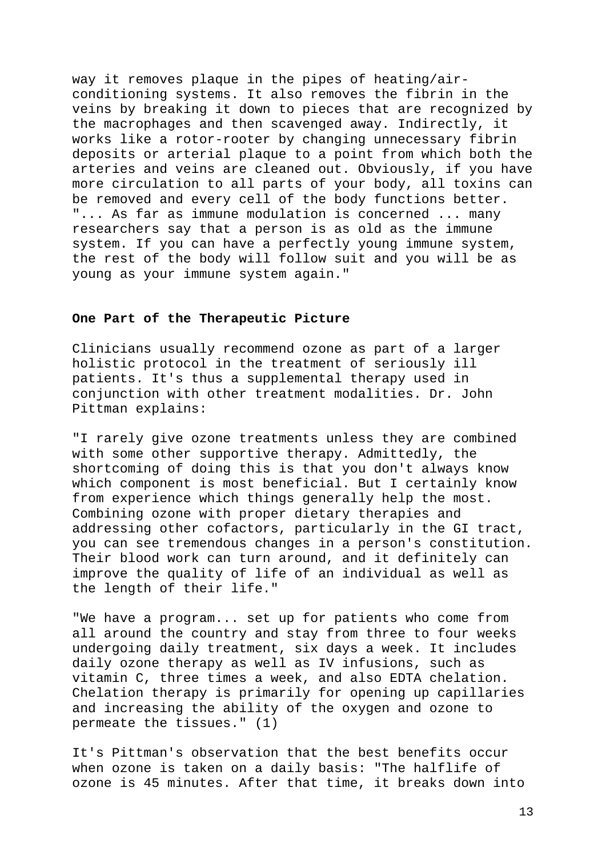way it removes plaque in the pipes of heating/airconditioning systems. It also removes the fibrin in the veins by breaking it down to pieces that are recognized by the macrophages and then scavenged away. Indirectly, it works like a rotor-rooter by changing unnecessary fibrin deposits or arterial plaque to a point from which both the arteries and veins are cleaned out. Obviously, if you have more circulation to all parts of your body, all toxins can be removed and every cell of the body functions better. "... As far as immune modulation is concerned ... many researchers say that a person is as old as the immune system. If you can have a perfectly young immune system, the rest of the body will follow suit and you will be as young as your immune system again."

### **One Part of the Therapeutic Picture**

Clinicians usually recommend ozone as part of a larger holistic protocol in the treatment of seriously ill patients. It's thus a supplemental therapy used in conjunction with other treatment modalities. Dr. John Pittman explains:

"I rarely give ozone treatments unless they are combined with some other supportive therapy. Admittedly, the shortcoming of doing this is that you don't always know which component is most beneficial. But I certainly know from experience which things generally help the most. Combining ozone with proper dietary therapies and addressing other cofactors, particularly in the GI tract, you can see tremendous changes in a person's constitution. Their blood work can turn around, and it definitely can improve the quality of life of an individual as well as the length of their life."

"We have a program... set up for patients who come from all around the country and stay from three to four weeks undergoing daily treatment, six days a week. It includes daily ozone therapy as well as IV infusions, such as vitamin C, three times a week, and also EDTA chelation. Chelation therapy is primarily for opening up capillaries and increasing the ability of the oxygen and ozone to permeate the tissues." (1)

It's Pittman's observation that the best benefits occur when ozone is taken on a daily basis: "The halflife of ozone is 45 minutes. After that time, it breaks down into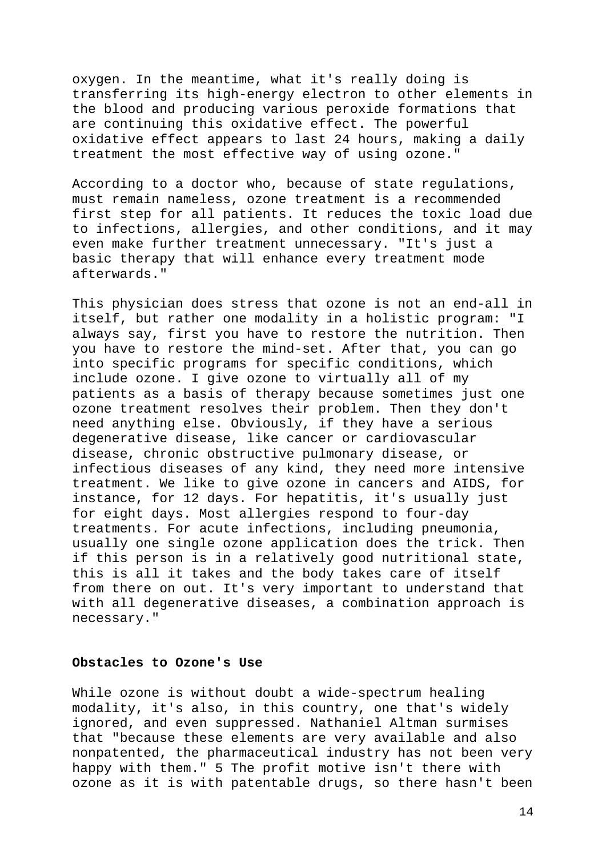oxygen. In the meantime, what it's really doing is transferring its high-energy electron to other elements in the blood and producing various peroxide formations that are continuing this oxidative effect. The powerful oxidative effect appears to last 24 hours, making a daily treatment the most effective way of using ozone."

According to a doctor who, because of state regulations, must remain nameless, ozone treatment is a recommended first step for all patients. It reduces the toxic load due to infections, allergies, and other conditions, and it may even make further treatment unnecessary. "It's just a basic therapy that will enhance every treatment mode afterwards."

This physician does stress that ozone is not an end-all in itself, but rather one modality in a holistic program: "I always say, first you have to restore the nutrition. Then you have to restore the mind-set. After that, you can go into specific programs for specific conditions, which include ozone. I give ozone to virtually all of my patients as a basis of therapy because sometimes just one ozone treatment resolves their problem. Then they don't need anything else. Obviously, if they have a serious degenerative disease, like cancer or cardiovascular disease, chronic obstructive pulmonary disease, or infectious diseases of any kind, they need more intensive treatment. We like to give ozone in cancers and AIDS, for instance, for 12 days. For hepatitis, it's usually just for eight days. Most allergies respond to four-day treatments. For acute infections, including pneumonia, usually one single ozone application does the trick. Then if this person is in a relatively good nutritional state, this is all it takes and the body takes care of itself from there on out. It's very important to understand that with all degenerative diseases, a combination approach is necessary."

## **Obstacles to Ozone's Use**

While ozone is without doubt a wide-spectrum healing modality, it's also, in this country, one that's widely ignored, and even suppressed. Nathaniel Altman surmises that "because these elements are very available and also nonpatented, the pharmaceutical industry has not been very happy with them." 5 The profit motive isn't there with ozone as it is with patentable drugs, so there hasn't been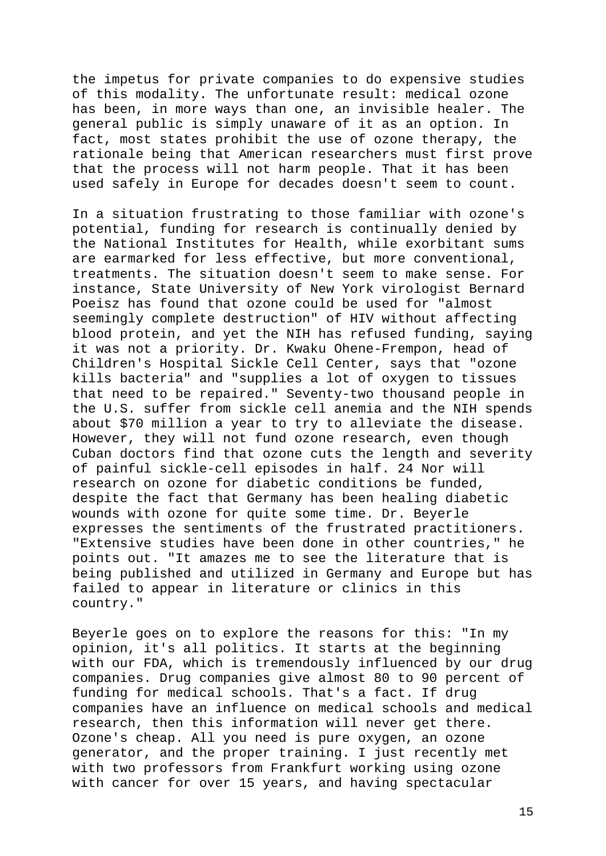the impetus for private companies to do expensive studies of this modality. The unfortunate result: medical ozone has been, in more ways than one, an invisible healer. The general public is simply unaware of it as an option. In fact, most states prohibit the use of ozone therapy, the rationale being that American researchers must first prove that the process will not harm people. That it has been used safely in Europe for decades doesn't seem to count.

In a situation frustrating to those familiar with ozone's potential, funding for research is continually denied by the National Institutes for Health, while exorbitant sums are earmarked for less effective, but more conventional, treatments. The situation doesn't seem to make sense. For instance, State University of New York virologist Bernard Poeisz has found that ozone could be used for "almost seemingly complete destruction" of HIV without affecting blood protein, and yet the NIH has refused funding, saying it was not a priority. Dr. Kwaku Ohene-Frempon, head of Children's Hospital Sickle Cell Center, says that "ozone kills bacteria" and "supplies a lot of oxygen to tissues that need to be repaired." Seventy-two thousand people in the U.S. suffer from sickle cell anemia and the NIH spends about \$70 million a year to try to alleviate the disease. However, they will not fund ozone research, even though Cuban doctors find that ozone cuts the length and severity of painful sickle-cell episodes in half. 24 Nor will research on ozone for diabetic conditions be funded, despite the fact that Germany has been healing diabetic wounds with ozone for quite some time. Dr. Beyerle expresses the sentiments of the frustrated practitioners. "Extensive studies have been done in other countries," he points out. "It amazes me to see the literature that is being published and utilized in Germany and Europe but has failed to appear in literature or clinics in this country."

Beyerle goes on to explore the reasons for this: "In my opinion, it's all politics. It starts at the beginning with our FDA, which is tremendously influenced by our drug companies. Drug companies give almost 80 to 90 percent of funding for medical schools. That's a fact. If drug companies have an influence on medical schools and medical research, then this information will never get there. Ozone's cheap. All you need is pure oxygen, an ozone generator, and the proper training. I just recently met with two professors from Frankfurt working using ozone with cancer for over 15 years, and having spectacular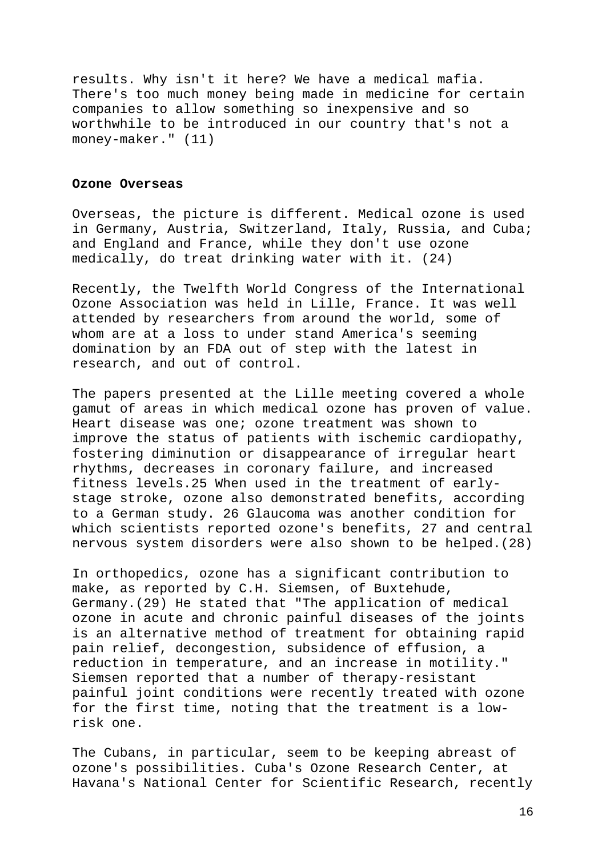results. Why isn't it here? We have a medical mafia. There's too much money being made in medicine for certain companies to allow something so inexpensive and so worthwhile to be introduced in our country that's not a money-maker." (11)

### **Ozone Overseas**

Overseas, the picture is different. Medical ozone is used in Germany, Austria, Switzerland, Italy, Russia, and Cuba; and England and France, while they don't use ozone medically, do treat drinking water with it. (24)

Recently, the Twelfth World Congress of the International Ozone Association was held in Lille, France. It was well attended by researchers from around the world, some of whom are at a loss to under stand America's seeming domination by an FDA out of step with the latest in research, and out of control.

The papers presented at the Lille meeting covered a whole gamut of areas in which medical ozone has proven of value. Heart disease was one; ozone treatment was shown to improve the status of patients with ischemic cardiopathy, fostering diminution or disappearance of irregular heart rhythms, decreases in coronary failure, and increased fitness levels.25 When used in the treatment of earlystage stroke, ozone also demonstrated benefits, according to a German study. 26 Glaucoma was another condition for which scientists reported ozone's benefits, 27 and central nervous system disorders were also shown to be helped.(28)

In orthopedics, ozone has a significant contribution to make, as reported by C.H. Siemsen, of Buxtehude, Germany.(29) He stated that "The application of medical ozone in acute and chronic painful diseases of the joints is an alternative method of treatment for obtaining rapid pain relief, decongestion, subsidence of effusion, a reduction in temperature, and an increase in motility." Siemsen reported that a number of therapy-resistant painful joint conditions were recently treated with ozone for the first time, noting that the treatment is a lowrisk one.

The Cubans, in particular, seem to be keeping abreast of ozone's possibilities. Cuba's Ozone Research Center, at Havana's National Center for Scientific Research, recently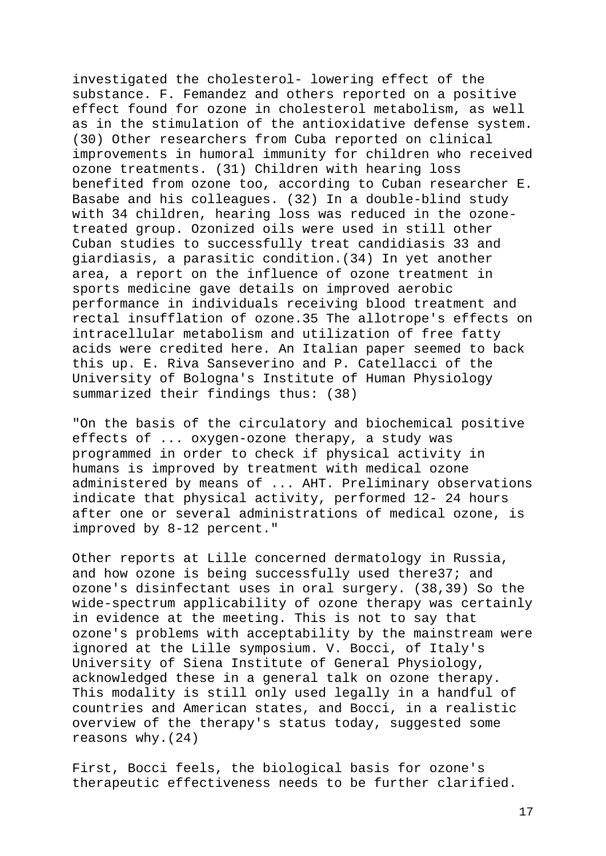investigated the cholesterol- lowering effect of the substance. F. Femandez and others reported on a positive effect found for ozone in cholesterol metabolism, as well as in the stimulation of the antioxidative defense system. (30) Other researchers from Cuba reported on clinical improvements in humoral immunity for children who received ozone treatments. (31) Children with hearing loss benefited from ozone too, according to Cuban researcher E. Basabe and his colleagues. (32) In a double-blind study with 34 children, hearing loss was reduced in the ozonetreated group. Ozonized oils were used in still other Cuban studies to successfully treat candidiasis 33 and giardiasis, a parasitic condition.(34) In yet another area, a report on the influence of ozone treatment in sports medicine gave details on improved aerobic performance in individuals receiving blood treatment and rectal insufflation of ozone.35 The allotrope's effects on intracellular metabolism and utilization of free fatty acids were credited here. An Italian paper seemed to back this up. E. Riva Sanseverino and P. Catellacci of the University of Bologna's Institute of Human Physiology summarized their findings thus: (38)

"On the basis of the circulatory and biochemical positive effects of ... oxygen-ozone therapy, a study was programmed in order to check if physical activity in humans is improved by treatment with medical ozone administered by means of ... AHT. Preliminary observations indicate that physical activity, performed 12- 24 hours after one or several administrations of medical ozone, is improved by 8-12 percent."

Other reports at Lille concerned dermatology in Russia, and how ozone is being successfully used there37; and ozone's disinfectant uses in oral surgery. (38,39) So the wide-spectrum applicability of ozone therapy was certainly in evidence at the meeting. This is not to say that ozone's problems with acceptability by the mainstream were ignored at the Lille symposium. V. Bocci, of Italy's University of Siena Institute of General Physiology, acknowledged these in a general talk on ozone therapy. This modality is still only used legally in a handful of countries and American states, and Bocci, in a realistic overview of the therapy's status today, suggested some reasons why.(24)

First, Bocci feels, the biological basis for ozone's therapeutic effectiveness needs to be further clarified.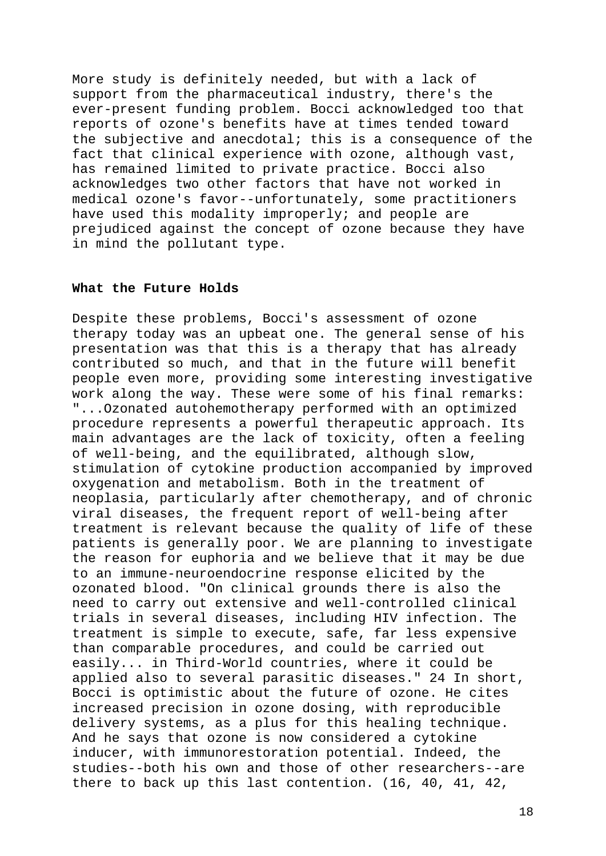More study is definitely needed, but with a lack of support from the pharmaceutical industry, there's the ever-present funding problem. Bocci acknowledged too that reports of ozone's benefits have at times tended toward the subjective and anecdotal; this is a consequence of the fact that clinical experience with ozone, although vast, has remained limited to private practice. Bocci also acknowledges two other factors that have not worked in medical ozone's favor--unfortunately, some practitioners have used this modality improperly; and people are prejudiced against the concept of ozone because they have in mind the pollutant type.

### **What the Future Holds**

Despite these problems, Bocci's assessment of ozone therapy today was an upbeat one. The general sense of his presentation was that this is a therapy that has already contributed so much, and that in the future will benefit people even more, providing some interesting investigative work along the way. These were some of his final remarks: "...Ozonated autohemotherapy performed with an optimized procedure represents a powerful therapeutic approach. Its main advantages are the lack of toxicity, often a feeling of well-being, and the equilibrated, although slow, stimulation of cytokine production accompanied by improved oxygenation and metabolism. Both in the treatment of neoplasia, particularly after chemotherapy, and of chronic viral diseases, the frequent report of well-being after treatment is relevant because the quality of life of these patients is generally poor. We are planning to investigate the reason for euphoria and we believe that it may be due to an immune-neuroendocrine response elicited by the ozonated blood. "On clinical grounds there is also the need to carry out extensive and well-controlled clinical trials in several diseases, including HIV infection. The treatment is simple to execute, safe, far less expensive than comparable procedures, and could be carried out easily... in Third-World countries, where it could be applied also to several parasitic diseases." 24 In short, Bocci is optimistic about the future of ozone. He cites increased precision in ozone dosing, with reproducible delivery systems, as a plus for this healing technique. And he says that ozone is now considered a cytokine inducer, with immunorestoration potential. Indeed, the studies--both his own and those of other researchers--are there to back up this last contention. (16, 40, 41, 42,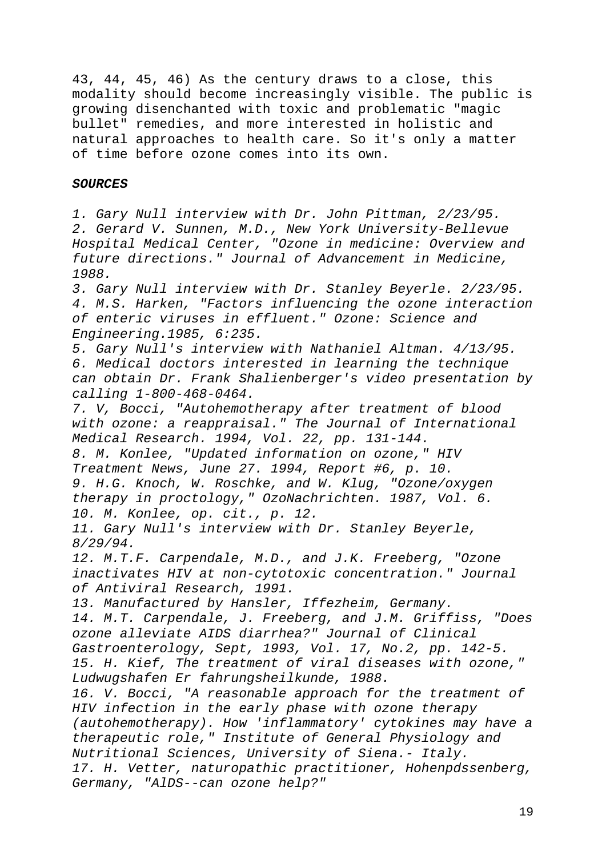43, 44, 45, 46) As the century draws to a close, this modality should become increasingly visible. The public is growing disenchanted with toxic and problematic "magic bullet" remedies, and more interested in holistic and natural approaches to health care. So it's only a matter of time before ozone comes into its own.

#### *SOURCES*

*1. Gary Null interview with Dr. John Pittman, 2/23/95. 2. Gerard V. Sunnen, M.D., New York University-Bellevue Hospital Medical Center, "Ozone in medicine: Overview and future directions." Journal of Advancement in Medicine, 1988. 3. Gary Null interview with Dr. Stanley Beyerle. 2/23/95. 4. M.S. Harken, "Factors influencing the ozone interaction of enteric viruses in effluent." Ozone: Science and Engineering.1985, 6:235. 5. Gary Null's interview with Nathaniel Altman. 4/13/95. 6. Medical doctors interested in learning the technique can obtain Dr. Frank Shalienberger's video presentation by calling 1-800-468-0464. 7. V, Bocci, "Autohemotherapy after treatment of blood with ozone: a reappraisal." The Journal of International Medical Research. 1994, Vol. 22, pp. 131-144. 8. M. Konlee, "Updated information on ozone," HIV Treatment News, June 27. 1994, Report #6, p. 10. 9. H.G. Knoch, W. Roschke, and W. Klug, "Ozone/oxygen therapy in proctology," OzoNachrichten. 1987, Vol. 6. 10. M. Konlee, op. cit., p. 12.*

*11. Gary Null's interview with Dr. Stanley Beyerle, 8/29/94.*

*12. M.T.F. Carpendale, M.D., and J.K. Freeberg, "Ozone inactivates HIV at non-cytotoxic concentration." Journal of Antiviral Research, 1991.*

*13. Manufactured by Hansler, Iffezheim, Germany.*

*14. M.T. Carpendale, J. Freeberg, and J.M. Griffiss, "Does ozone alleviate AIDS diarrhea?" Journal of Clinical Gastroenterology, Sept, 1993, Vol. 17, No.2, pp. 142-5. 15. H. Kief, The treatment of viral diseases with ozone," Ludwugshafen Er fahrungsheilkunde, 1988.*

*16. V. Bocci, "A reasonable approach for the treatment of HIV infection in the early phase with ozone therapy (autohemotherapy). How 'inflammatory' cytokines may have a therapeutic role," Institute of General Physiology and Nutritional Sciences, University of Siena.- Italy. 17. H. Vetter, naturopathic practitioner, Hohenpdssenberg, Germany, "AlDS--can ozone help?"*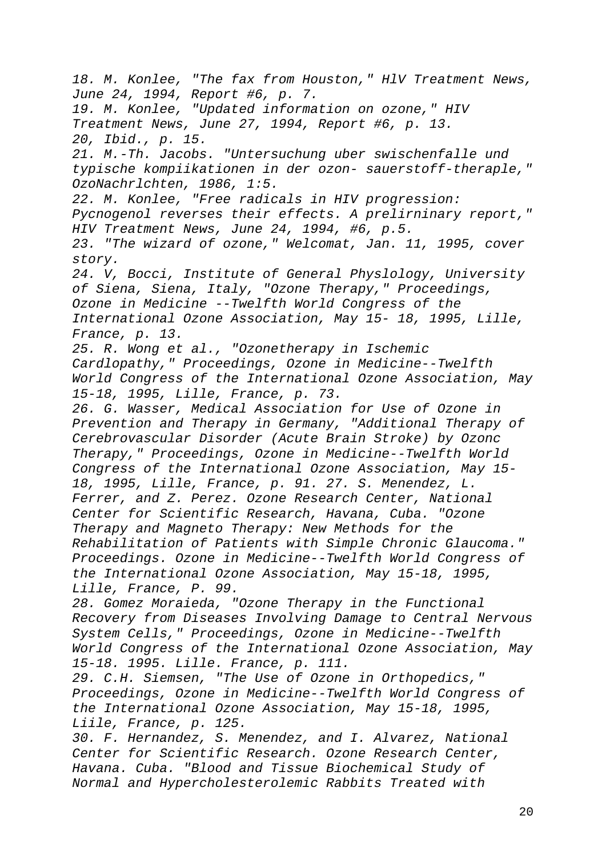*18. M. Konlee, "The fax from Houston," HlV Treatment News, June 24, 1994, Report #6, p. 7. 19. M. Konlee, "Updated information on ozone," HIV Treatment News, June 27, 1994, Report #6, p. 13. 20, Ibid., p. 15. 21. M.-Th. Jacobs. "Untersuchung uber swischenfalle und typische kompiikationen in der ozon- sauerstoff-theraple," OzoNachrlchten, 1986, 1:5. 22. M. Konlee, "Free radicals in HIV progression: Pycnogenol reverses their effects. A prelirninary report," HIV Treatment News, June 24, 1994, #6, p.5. 23. "The wizard of ozone," Welcomat, Jan. 11, 1995, cover story. 24. V, Bocci, Institute of General Physlology, University of Siena, Siena, Italy, "Ozone Therapy," Proceedings, Ozone in Medicine --Twelfth World Congress of the International Ozone Association, May 15- 18, 1995, Lille, France, p. 13. 25. R. Wong et al., "Ozonetherapy in Ischemic Cardlopathy," Proceedings, Ozone in Medicine--Twelfth World Congress of the International Ozone Association, May 15-18, 1995, Lille, France, p. 73. 26. G. Wasser, Medical Association for Use of Ozone in Prevention and Therapy in Germany, "Additional Therapy of Cerebrovascular Disorder (Acute Brain Stroke) by Ozonc Therapy," Proceedings, Ozone in Medicine--Twelfth World Congress of the International Ozone Association, May 15- 18, 1995, Lille, France, p. 91. 27. S. Menendez, L. Ferrer, and Z. Perez. Ozone Research Center, National Center for Scientific Research, Havana, Cuba. "Ozone Therapy and Magneto Therapy: New Methods for the Rehabilitation of Patients with Simple Chronic Glaucoma." Proceedings. Ozone in Medicine--Twelfth World Congress of the International Ozone Association, May 15-18, 1995, Lille, France, P. 99. 28. Gomez Moraieda, "Ozone Therapy in the Functional Recovery from Diseases Involving Damage to Central Nervous System Cells," Proceedings, Ozone in Medicine--Twelfth World Congress of the International Ozone Association, May 15-18. 1995. Lille. France, p. 111. 29. C.H. Siemsen, "The Use of Ozone in Orthopedics," Proceedings, Ozone in Medicine--Twelfth World Congress of the International Ozone Association, May 15-18, 1995, Liile, France, p. 125. 30. F. Hernandez, S. Menendez, and I. Alvarez, National Center for Scientific Research. Ozone Research Center, Havana. Cuba. "Blood and Tissue Biochemical Study of Normal and Hypercholesterolemic Rabbits Treated with*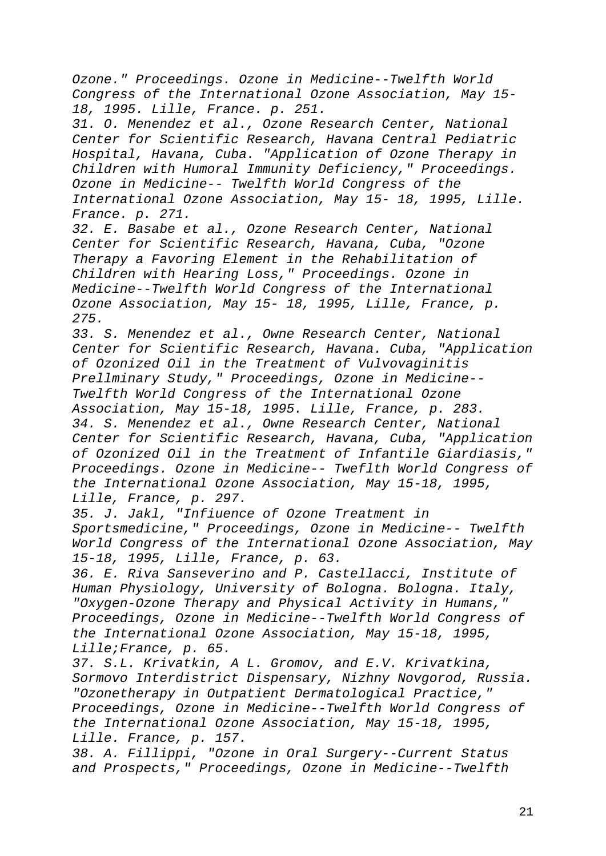*Ozone." Proceedings. Ozone in Medicine--Twelfth World Congress of the International Ozone Association, May 15- 18, 1995. Lille, France. p. 251.*

*31. O. Menendez et al., Ozone Research Center, National Center for Scientific Research, Havana Central Pediatric Hospital, Havana, Cuba. "Application of Ozone Therapy in Children with Humoral Immunity Deficiency," Proceedings. Ozone in Medicine-- Twelfth World Congress of the International Ozone Association, May 15- 18, 1995, Lille. France. p. 271.*

*32. E. Basabe et al., Ozone Research Center, National Center for Scientific Research, Havana, Cuba, "Ozone Therapy a Favoring Element in the Rehabilitation of Children with Hearing Loss," Proceedings. Ozone in Medicine--Twelfth World Congress of the International Ozone Association, May 15- 18, 1995, Lille, France, p. 275.*

*33. S. Menendez et al., Owne Research Center, National Center for Scientific Research, Havana. Cuba, "Application of Ozonized Oil in the Treatment of Vulvovaginitis Prellminary Study," Proceedings, Ozone in Medicine-- Twelfth World Congress of the International Ozone Association, May 15-18, 1995. Lille, France, p. 283. 34. S. Menendez et al., Owne Research Center, National Center for Scientific Research, Havana, Cuba, "Application of Ozonized Oil in the Treatment of Infantile Giardiasis," Proceedings. Ozone in Medicine-- Tweflth World Congress of the International Ozone Association, May 15-18, 1995, Lille, France, p. 297.*

*35. J. Jakl, "Infiuence of Ozone Treatment in Sportsmedicine," Proceedings, Ozone in Medicine-- Twelfth World Congress of the International Ozone Association, May 15-18, 1995, Lille, France, p. 63.*

*36. E. Riva Sanseverino and P. Castellacci, Institute of Human Physiology, University of Bologna. Bologna. Italy, "Oxygen-Ozone Therapy and Physical Activity in Humans," Proceedings, Ozone in Medicine--Twelfth World Congress of the International Ozone Association, May 15-18, 1995, Lille;France, p. 65.*

*37. S.L. Krivatkin, A L. Gromov, and E.V. Krivatkina, Sormovo Interdistrict Dispensary, Nizhny Novgorod, Russia. "Ozonetherapy in Outpatient Dermatological Practice," Proceedings, Ozone in Medicine--Twelfth World Congress of the International Ozone Association, May 15-18, 1995, Lille. France, p. 157.*

*38. A. Fillippi, "Ozone in Oral Surgery--Current Status and Prospects," Proceedings, Ozone in Medicine--Twelfth*